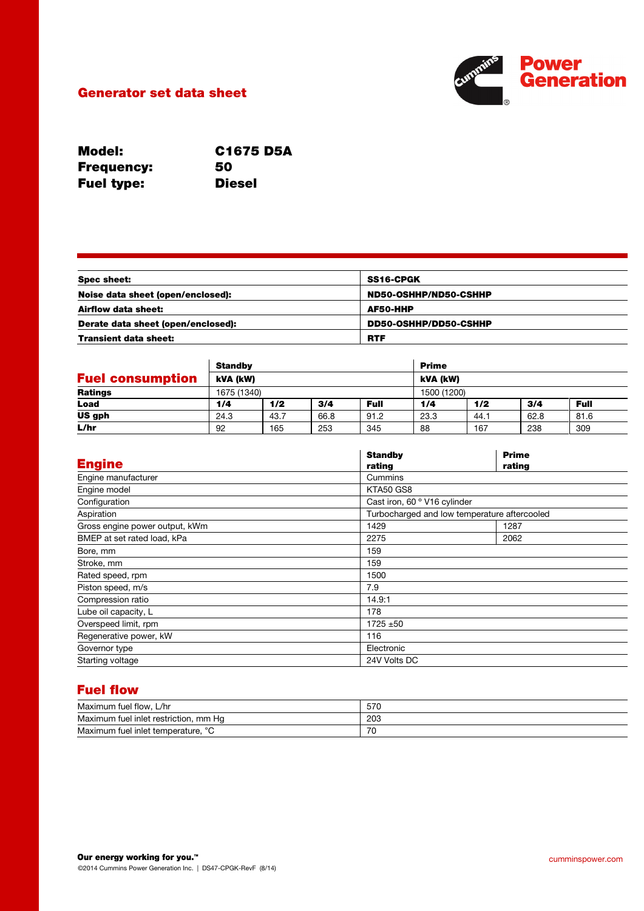## Generator set data sheet



| <b>Model:</b>     | <b>C1675 D5A</b> |
|-------------------|------------------|
| <b>Frequency:</b> | 50               |
| <b>Fuel type:</b> | <b>Diesel</b>    |

| <b>Spec sheet:</b>                 | SS16-CPGK             |
|------------------------------------|-----------------------|
| Noise data sheet (open/enclosed):  | ND50-OSHHP/ND50-CSHHP |
| Airflow data sheet:                | AF50-HHP              |
| Derate data sheet (open/enclosed): | DD50-OSHHP/DD50-CSHHP |
| <b>Transient data sheet:</b>       | <b>RTF</b>            |

|                         | <b>Standby</b> |      |      |             | <b>Prime</b> |      |      |             |
|-------------------------|----------------|------|------|-------------|--------------|------|------|-------------|
| <b>Fuel consumption</b> | kVA (kW)       |      |      |             | kVA (kW)     |      |      |             |
| <b>Ratings</b>          | 1675 (1340)    |      |      |             | 1500 (1200)  |      |      |             |
| Load                    | 1/4            | 1/2  | 3/4  | <b>Full</b> | 1/4          | 1/2  | 3/4  | <b>Full</b> |
| US gph                  | 24.3           | 43.7 | 66.8 | 91.2        | 23.3         | 44.1 | 62.8 | 81.6        |
| L/hr                    | 92             | 165  | 253  | 345         | 88           | 167  | 238  | 309         |

|                                | <b>Standby</b>               | <b>Prime</b>                                 |  |
|--------------------------------|------------------------------|----------------------------------------------|--|
| <b>Engine</b>                  | rating                       | rating                                       |  |
| Engine manufacturer            | Cummins                      |                                              |  |
| Engine model                   | KTA50 GS8                    |                                              |  |
| Configuration                  | Cast iron, 60 ° V16 cylinder |                                              |  |
| Aspiration                     |                              | Turbocharged and low temperature aftercooled |  |
| Gross engine power output, kWm | 1429                         | 1287                                         |  |
| BMEP at set rated load, kPa    | 2275                         | 2062                                         |  |
| Bore, mm                       | 159                          |                                              |  |
| Stroke, mm                     | 159                          |                                              |  |
| Rated speed, rpm               | 1500                         |                                              |  |
| Piston speed, m/s              | 7.9                          |                                              |  |
| Compression ratio              | 14.9:1                       |                                              |  |
| Lube oil capacity, L           | 178                          |                                              |  |
| Overspeed limit, rpm           | $1725 + 50$                  |                                              |  |
| Regenerative power, kW         | 116                          |                                              |  |
| Governor type                  | Electronic                   |                                              |  |
| Starting voltage               | 24V Volts DC                 |                                              |  |

# Fuel flow

| Maximum fuel flow.<br>L/hr                  | 570 |
|---------------------------------------------|-----|
| Maximum fuel inlet restriction, mm Hg       | 203 |
| $\sim$<br>Maximum fuel inlet temperature, ° | 70  |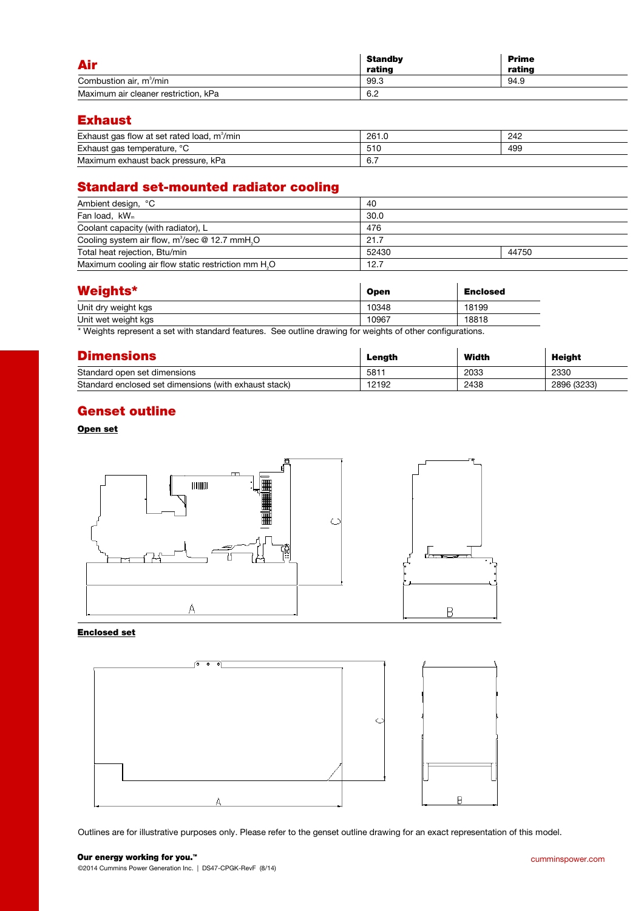| <b>Air</b>                           | <b>Standby</b><br>rating | <b>Prime</b><br>rating |
|--------------------------------------|--------------------------|------------------------|
| Combustion air, m <sup>3</sup> /min  | 99.3                     | 94.9                   |
| Maximum air cleaner restriction, kPa | 6.2                      |                        |

### Exhaust

| Exhaust gas flow at set rated load, m <sup>3</sup> /min | 261.0             | 242 |
|---------------------------------------------------------|-------------------|-----|
| Exhaust gas temperature, °C                             | 510               | 499 |
| Maximum exhaust back pressure.<br>kPa                   | $\sim$ $-$<br>6.1 |     |

# Standard set-mounted radiator cooling

| Ambient design, °C                                              | 40    |       |
|-----------------------------------------------------------------|-------|-------|
| Fan load, kW <sub>m</sub>                                       | 30.0  |       |
| Coolant capacity (with radiator), L                             | 476   |       |
| Cooling system air flow, $m^3$ /sec @ 12.7 mmH <sub>2</sub> O   | 21.7  |       |
| Total heat rejection, Btu/min                                   | 52430 | 44750 |
| Maximum cooling air flow static restriction mm H <sub>2</sub> O | 12.7  |       |

| <b>Weights*</b>     | <b>Open</b> | <b>Enclosed</b> |
|---------------------|-------------|-----------------|
| Unit dry weight kgs | 10348       | 18199           |
| Unit wet weight kgs | 10967       | 18818           |

\* Weights represent a set with standard features. See outline drawing for weights of other configurations.

| <b>Dimensions</b>                                     | Length | Width | Height      |
|-------------------------------------------------------|--------|-------|-------------|
| Standard open set dimensions                          | 581'   | 2033  | 2330        |
| Standard enclosed set dimensions (with exhaust stack) | 12192  | 2438  | 2896 (3233) |

## Genset outline

#### Open set



#### Enclosed set



Outlines are for illustrative purposes only. Please refer to the genset outline drawing for an exact representation of this model.

# Our energy working for you.™

©2014 Cummins Power Generation Inc. | DS47-CPGK-RevF (8/14)